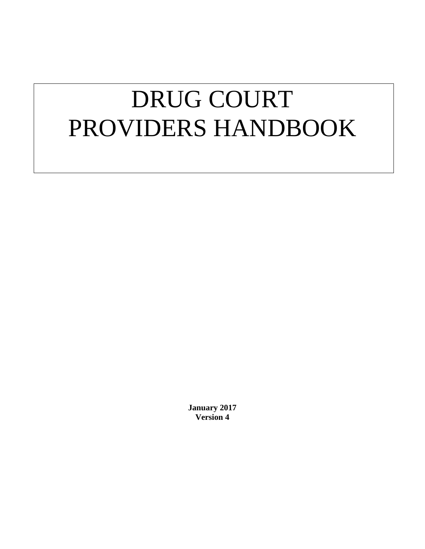# DRUG COURT PROVIDERS HANDBOOK

**January 2017 Version 4**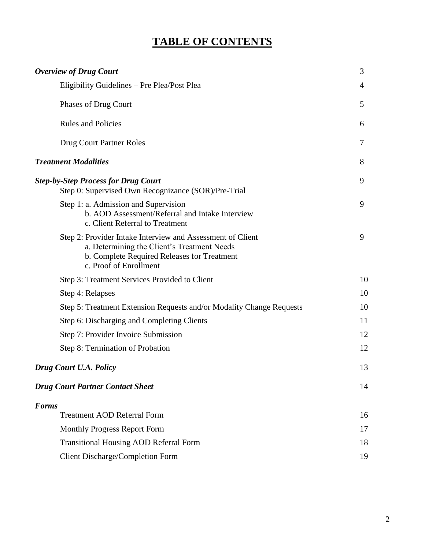## **TABLE OF CONTENTS**

| <b>Overview of Drug Court</b>                                                                                                                                                      | 3              |
|------------------------------------------------------------------------------------------------------------------------------------------------------------------------------------|----------------|
| Eligibility Guidelines - Pre Plea/Post Plea                                                                                                                                        | $\overline{4}$ |
| Phases of Drug Court                                                                                                                                                               | 5              |
| <b>Rules and Policies</b>                                                                                                                                                          | 6              |
| Drug Court Partner Roles                                                                                                                                                           | 7              |
| <b>Treatment Modalities</b>                                                                                                                                                        | 8              |
| <b>Step-by-Step Process for Drug Court</b><br>Step 0: Supervised Own Recognizance (SOR)/Pre-Trial                                                                                  | 9              |
| Step 1: a. Admission and Supervision<br>b. AOD Assessment/Referral and Intake Interview<br>c. Client Referral to Treatment                                                         | 9              |
| Step 2: Provider Intake Interview and Assessment of Client<br>a. Determining the Client's Treatment Needs<br>b. Complete Required Releases for Treatment<br>c. Proof of Enrollment | 9              |
| Step 3: Treatment Services Provided to Client                                                                                                                                      | 10             |
| Step 4: Relapses                                                                                                                                                                   | 10             |
| Step 5: Treatment Extension Requests and/or Modality Change Requests                                                                                                               | 10             |
| Step 6: Discharging and Completing Clients                                                                                                                                         | 11             |
| Step 7: Provider Invoice Submission                                                                                                                                                | 12             |
| Step 8: Termination of Probation                                                                                                                                                   | 12             |
| Drug Court U.A. Policy                                                                                                                                                             | 13             |
| <b>Drug Court Partner Contact Sheet</b>                                                                                                                                            | 14             |
| <b>Forms</b>                                                                                                                                                                       |                |
| <b>Treatment AOD Referral Form</b>                                                                                                                                                 | 16             |
| Monthly Progress Report Form                                                                                                                                                       | 17             |
| <b>Transitional Housing AOD Referral Form</b>                                                                                                                                      | 18             |
| <b>Client Discharge/Completion Form</b>                                                                                                                                            | 19             |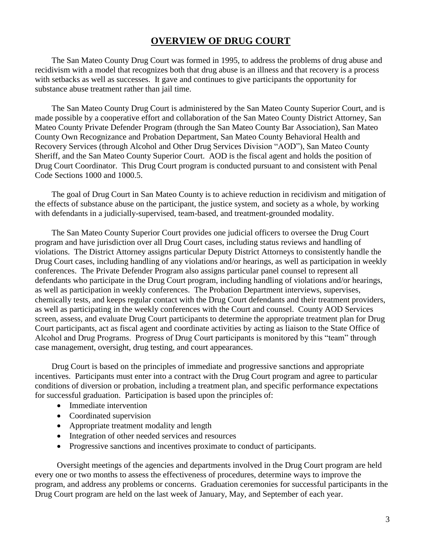#### **OVERVIEW OF DRUG COURT**

The San Mateo County Drug Court was formed in 1995, to address the problems of drug abuse and recidivism with a model that recognizes both that drug abuse is an illness and that recovery is a process with setbacks as well as successes. It gave and continues to give participants the opportunity for substance abuse treatment rather than jail time.

The San Mateo County Drug Court is administered by the San Mateo County Superior Court, and is made possible by a cooperative effort and collaboration of the San Mateo County District Attorney, San Mateo County Private Defender Program (through the San Mateo County Bar Association), San Mateo County Own Recognizance and Probation Department, San Mateo County Behavioral Health and Recovery Services (through Alcohol and Other Drug Services Division "AOD"), San Mateo County Sheriff, and the San Mateo County Superior Court. AOD is the fiscal agent and holds the position of Drug Court Coordinator. This Drug Court program is conducted pursuant to and consistent with Penal Code Sections 1000 and 1000.5.

The goal of Drug Court in San Mateo County is to achieve reduction in recidivism and mitigation of the effects of substance abuse on the participant, the justice system, and society as a whole, by working with defendants in a judicially-supervised, team-based, and treatment-grounded modality.

The San Mateo County Superior Court provides one judicial officers to oversee the Drug Court program and have jurisdiction over all Drug Court cases, including status reviews and handling of violations. The District Attorney assigns particular Deputy District Attorneys to consistently handle the Drug Court cases, including handling of any violations and/or hearings, as well as participation in weekly conferences. The Private Defender Program also assigns particular panel counsel to represent all defendants who participate in the Drug Court program, including handling of violations and/or hearings, as well as participation in weekly conferences. The Probation Department interviews, supervises, chemically tests, and keeps regular contact with the Drug Court defendants and their treatment providers, as well as participating in the weekly conferences with the Court and counsel. County AOD Services screen, assess, and evaluate Drug Court participants to determine the appropriate treatment plan for Drug Court participants, act as fiscal agent and coordinate activities by acting as liaison to the State Office of Alcohol and Drug Programs. Progress of Drug Court participants is monitored by this "team" through case management, oversight, drug testing, and court appearances.

Drug Court is based on the principles of immediate and progressive sanctions and appropriate incentives. Participants must enter into a contract with the Drug Court program and agree to particular conditions of diversion or probation, including a treatment plan, and specific performance expectations for successful graduation. Participation is based upon the principles of:

- Immediate intervention
- Coordinated supervision
- Appropriate treatment modality and length
- Integration of other needed services and resources
- Progressive sanctions and incentives proximate to conduct of participants.

Oversight meetings of the agencies and departments involved in the Drug Court program are held every one or two months to assess the effectiveness of procedures, determine ways to improve the program, and address any problems or concerns. Graduation ceremonies for successful participants in the Drug Court program are held on the last week of January, May, and September of each year.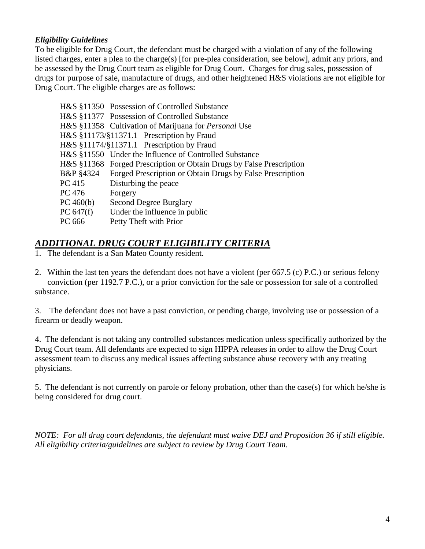#### *Eligibility Guidelines*

To be eligible for Drug Court, the defendant must be charged with a violation of any of the following listed charges, enter a plea to the charge(s) [for pre-plea consideration, see below], admit any priors, and be assessed by the Drug Court team as eligible for Drug Court. Charges for drug sales, possession of drugs for purpose of sale, manufacture of drugs, and other heightened H&S violations are not eligible for Drug Court. The eligible charges are as follows:

|             | H&S §11350 Possession of Controlled Substance                        |
|-------------|----------------------------------------------------------------------|
|             | H&S §11377 Possession of Controlled Substance                        |
|             | H&S §11358 Cultivation of Marijuana for Personal Use                 |
|             | H&S §11173/§11371.1 Prescription by Fraud                            |
|             | H&S §11174/§11371.1 Prescription by Fraud                            |
|             | H&S §11550 Under the Influence of Controlled Substance               |
|             | H&S §11368 Forged Prescription or Obtain Drugs by False Prescription |
|             | B&P §4324 Forged Prescription or Obtain Drugs by False Prescription  |
| PC 415      | Disturbing the peace                                                 |
| PC 476      | Forgery                                                              |
| PC 460(b)   | <b>Second Degree Burglary</b>                                        |
| PC $647(f)$ | Under the influence in public                                        |
| PC 666      | Petty Theft with Prior                                               |
|             |                                                                      |

### *ADDITIONAL DRUG COURT ELIGIBILITY CRITERIA*

1. The defendant is a San Mateo County resident.

2. Within the last ten years the defendant does not have a violent (per 667.5 (c) P.C.) or serious felony conviction (per 1192.7 P.C.), or a prior conviction for the sale or possession for sale of a controlled substance.

3. The defendant does not have a past conviction, or pending charge, involving use or possession of a firearm or deadly weapon.

4. The defendant is not taking any controlled substances medication unless specifically authorized by the Drug Court team. All defendants are expected to sign HIPPA releases in order to allow the Drug Court assessment team to discuss any medical issues affecting substance abuse recovery with any treating physicians.

5. The defendant is not currently on parole or felony probation, other than the case(s) for which he/she is being considered for drug court.

*NOTE: For all drug court defendants, the defendant must waive DEJ and Proposition 36 if still eligible. All eligibility criteria/guidelines are subject to review by Drug Court Team.*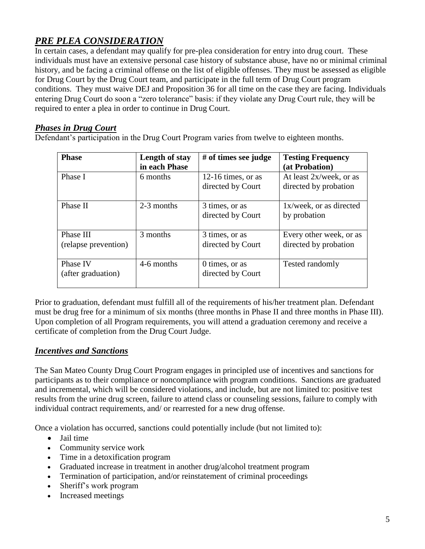## *PRE PLEA CONSIDERATION*

In certain cases, a defendant may qualify for pre-plea consideration for entry into drug court. These individuals must have an extensive personal case history of substance abuse, have no or minimal criminal history, and be facing a criminal offense on the list of eligible offenses. They must be assessed as eligible for Drug Court by the Drug Court team, and participate in the full term of Drug Court program conditions. They must waive DEJ and Proposition 36 for all time on the case they are facing. Individuals entering Drug Court do soon a "zero tolerance" basis: if they violate any Drug Court rule, they will be required to enter a plea in order to continue in Drug Court.

#### *Phases in Drug Court*

Defendant's participation in the Drug Court Program varies from twelve to eighteen months.

| <b>Phase</b>                      | Length of stay<br>in each Phase | $#$ of times see judge                  | <b>Testing Frequency</b><br>(at Probation)       |
|-----------------------------------|---------------------------------|-----------------------------------------|--------------------------------------------------|
| Phase I                           | 6 months                        | 12-16 times, or as<br>directed by Court | At least 2x/week, or as<br>directed by probation |
| Phase II                          | 2-3 months                      | 3 times, or as<br>directed by Court     | 1x/week, or as directed<br>by probation          |
| Phase III<br>(relapse prevention) | 3 months                        | 3 times, or as<br>directed by Court     | Every other week, or as<br>directed by probation |
| Phase IV<br>(after graduation)    | 4-6 months                      | 0 times, or as<br>directed by Court     | <b>Tested randomly</b>                           |

Prior to graduation, defendant must fulfill all of the requirements of his/her treatment plan. Defendant must be drug free for a minimum of six months (three months in Phase II and three months in Phase III). Upon completion of all Program requirements, you will attend a graduation ceremony and receive a certificate of completion from the Drug Court Judge.

#### *Incentives and Sanctions*

The San Mateo County Drug Court Program engages in principled use of incentives and sanctions for participants as to their compliance or noncompliance with program conditions. Sanctions are graduated and incremental, which will be considered violations, and include, but are not limited to: positive test results from the urine drug screen, failure to attend class or counseling sessions, failure to comply with individual contract requirements, and/ or rearrested for a new drug offense.

Once a violation has occurred, sanctions could potentially include (but not limited to):

- Jail time
- Community service work
- Time in a detoxification program
- Graduated increase in treatment in another drug/alcohol treatment program
- Termination of participation, and/or reinstatement of criminal proceedings
- Sheriff's work program
- Increased meetings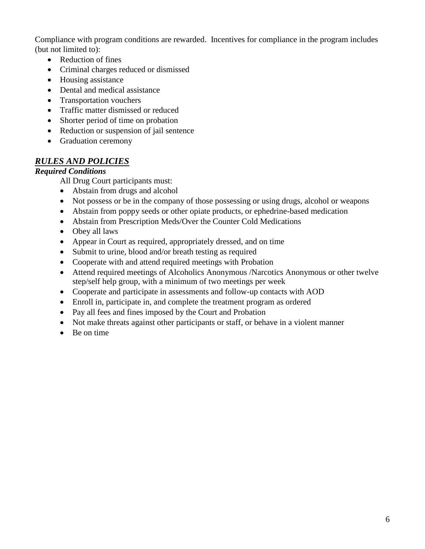Compliance with program conditions are rewarded. Incentives for compliance in the program includes (but not limited to):

- Reduction of fines
- Criminal charges reduced or dismissed
- Housing assistance
- Dental and medical assistance
- Transportation vouchers
- Traffic matter dismissed or reduced
- Shorter period of time on probation
- Reduction or suspension of jail sentence
- Graduation ceremony

#### *RULES AND POLICIES*

#### *Required Conditions*

All Drug Court participants must:

- Abstain from drugs and alcohol
- Not possess or be in the company of those possessing or using drugs, alcohol or weapons
- Abstain from poppy seeds or other opiate products, or ephedrine-based medication
- Abstain from Prescription Meds/Over the Counter Cold Medications
- Obey all laws
- Appear in Court as required, appropriately dressed, and on time
- Submit to urine, blood and/or breath testing as required
- Cooperate with and attend required meetings with Probation
- Attend required meetings of Alcoholics Anonymous /Narcotics Anonymous or other twelve step/self help group, with a minimum of two meetings per week
- Cooperate and participate in assessments and follow-up contacts with AOD
- Enroll in, participate in, and complete the treatment program as ordered
- Pay all fees and fines imposed by the Court and Probation
- Not make threats against other participants or staff, or behave in a violent manner
- Be on time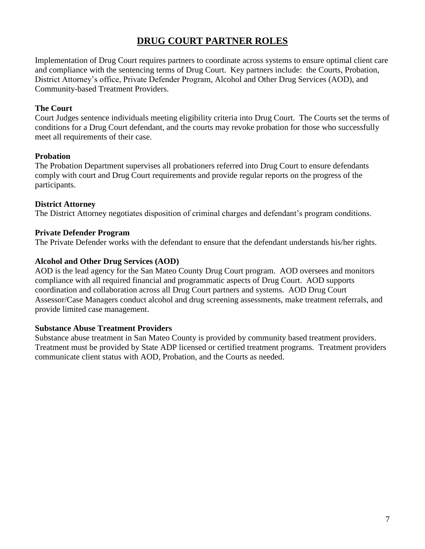## **DRUG COURT PARTNER ROLES**

Implementation of Drug Court requires partners to coordinate across systems to ensure optimal client care and compliance with the sentencing terms of Drug Court. Key partners include: the Courts, Probation, District Attorney's office, Private Defender Program, Alcohol and Other Drug Services (AOD), and Community-based Treatment Providers.

#### **The Court**

Court Judges sentence individuals meeting eligibility criteria into Drug Court. The Courts set the terms of conditions for a Drug Court defendant, and the courts may revoke probation for those who successfully meet all requirements of their case.

#### **Probation**

The Probation Department supervises all probationers referred into Drug Court to ensure defendants comply with court and Drug Court requirements and provide regular reports on the progress of the participants.

#### **District Attorney**

The District Attorney negotiates disposition of criminal charges and defendant's program conditions.

#### **Private Defender Program**

The Private Defender works with the defendant to ensure that the defendant understands his/her rights.

#### **Alcohol and Other Drug Services (AOD)**

AOD is the lead agency for the San Mateo County Drug Court program. AOD oversees and monitors compliance with all required financial and programmatic aspects of Drug Court. AOD supports coordination and collaboration across all Drug Court partners and systems. AOD Drug Court Assessor/Case Managers conduct alcohol and drug screening assessments, make treatment referrals, and provide limited case management.

#### **Substance Abuse Treatment Providers**

Substance abuse treatment in San Mateo County is provided by community based treatment providers. Treatment must be provided by State ADP licensed or certified treatment programs. Treatment providers communicate client status with AOD, Probation, and the Courts as needed.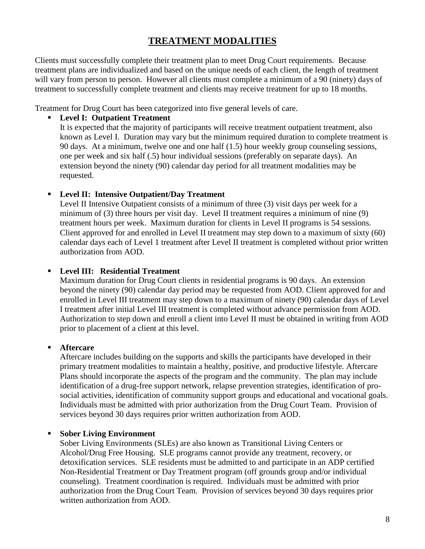## **TREATMENT MODALITIES**

Clients must successfully complete their treatment plan to meet Drug Court requirements. Because treatment plans are individualized and based on the unique needs of each client, the length of treatment will vary from person to person. However all clients must complete a minimum of a 90 (ninety) days of treatment to successfully complete treatment and clients may receive treatment for up to 18 months.

Treatment for Drug Court has been categorized into five general levels of care.

#### **Level I: Outpatient Treatment**

It is expected that the majority of participants will receive treatment outpatient treatment, also known as Level I. Duration may vary but the minimum required duration to complete treatment is 90 days. At a minimum, twelve one and one half (1.5) hour weekly group counseling sessions, one per week and six half (.5) hour individual sessions (preferably on separate days). An extension beyond the ninety (90) calendar day period for all treatment modalities may be requested.

#### **Level II: Intensive Outpatient/Day Treatment**

Level II Intensive Outpatient consists of a minimum of three (3) visit days per week for a minimum of (3) three hours per visit day. Level II treatment requires a minimum of nine (9) treatment hours per week. Maximum duration for clients in Level II programs is 54 sessions. Client approved for and enrolled in Level II treatment may step down to a maximum of sixty (60) calendar days each of Level 1 treatment after Level II treatment is completed without prior written authorization from AOD.

#### **Level III: Residential Treatment**

Maximum duration for Drug Court clients in residential programs is 90 days. An extension beyond the ninety (90) calendar day period may be requested from AOD. Client approved for and enrolled in Level III treatment may step down to a maximum of ninety (90) calendar days of Level I treatment after initial Level III treatment is completed without advance permission from AOD. Authorization to step down and enroll a client into Level II must be obtained in writing from AOD prior to placement of a client at this level.

#### **Aftercare**

Aftercare includes building on the supports and skills the participants have developed in their primary treatment modalities to maintain a healthy, positive, and productive lifestyle. Aftercare Plans should incorporate the aspects of the program and the community. The plan may include identification of a drug-free support network, relapse prevention strategies, identification of prosocial activities, identification of community support groups and educational and vocational goals. Individuals must be admitted with prior authorization from the Drug Court Team. Provision of services beyond 30 days requires prior written authorization from AOD.

#### **Sober Living Environment**

Sober Living Environments (SLEs) are also known as Transitional Living Centers or Alcohol/Drug Free Housing. SLE programs cannot provide any treatment, recovery, or detoxification services. SLE residents must be admitted to and participate in an ADP certified Non-Residential Treatment or Day Treatment program (off grounds group and/or individual counseling). Treatment coordination is required. Individuals must be admitted with prior authorization from the Drug Court Team. Provision of services beyond 30 days requires prior written authorization from AOD.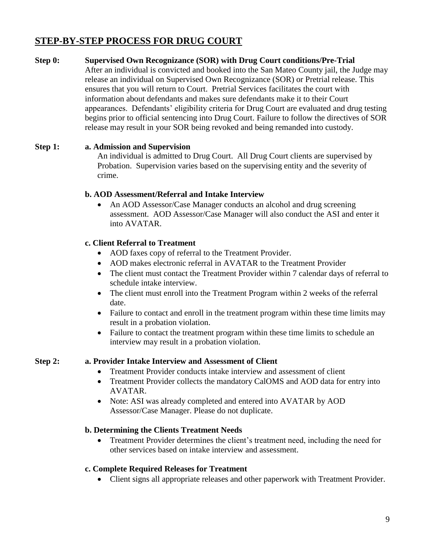## **STEP-BY-STEP PROCESS FOR DRUG COURT**

**Step 0: Supervised Own Recognizance (SOR) with Drug Court conditions/Pre-Trial** After an individual is convicted and booked into the San Mateo County jail, the Judge may release an individual on Supervised Own Recognizance (SOR) or Pretrial release. This ensures that you will return to Court. Pretrial Services facilitates the court with information about defendants and makes sure defendants make it to their Court appearances. Defendants' eligibility criteria for Drug Court are evaluated and drug testing begins prior to official sentencing into Drug Court. Failure to follow the directives of SOR release may result in your SOR being revoked and being remanded into custody.

#### **Step 1: a. Admission and Supervision**

An individual is admitted to Drug Court. All Drug Court clients are supervised by Probation. Supervision varies based on the supervising entity and the severity of crime.

#### **b. AOD Assessment/Referral and Intake Interview**

• An AOD Assessor/Case Manager conducts an alcohol and drug screening assessment. AOD Assessor/Case Manager will also conduct the ASI and enter it into AVATAR.

#### **c. Client Referral to Treatment**

- AOD faxes copy of referral to the Treatment Provider.
- AOD makes electronic referral in AVATAR to the Treatment Provider
- The client must contact the Treatment Provider within 7 calendar days of referral to schedule intake interview.
- The client must enroll into the Treatment Program within 2 weeks of the referral date.
- Failure to contact and enroll in the treatment program within these time limits may result in a probation violation.
- Failure to contact the treatment program within these time limits to schedule an interview may result in a probation violation.

#### **Step 2: a. Provider Intake Interview and Assessment of Client**

- Treatment Provider conducts intake interview and assessment of client
- Treatment Provider collects the mandatory CalOMS and AOD data for entry into AVATAR.
- Note: ASI was already completed and entered into AVATAR by AOD Assessor/Case Manager. Please do not duplicate.

#### **b. Determining the Clients Treatment Needs**

 Treatment Provider determines the client's treatment need, including the need for other services based on intake interview and assessment.

#### **c. Complete Required Releases for Treatment**

Client signs all appropriate releases and other paperwork with Treatment Provider.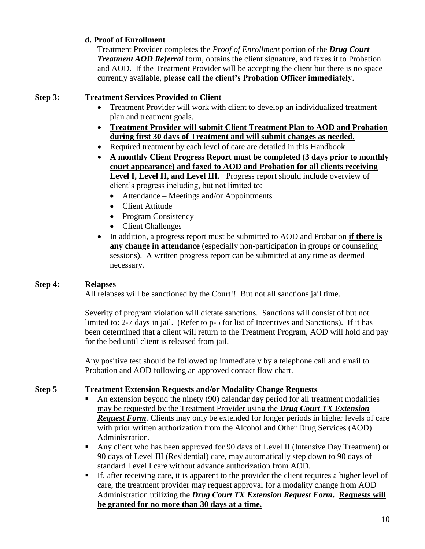#### **d. Proof of Enrollment**

Treatment Provider completes the *Proof of Enrollment* portion of the *Drug Court Treatment AOD Referral* form, obtains the client signature, and faxes it to Probation and AOD. If the Treatment Provider will be accepting the client but there is no space currently available, **please call the client's Probation Officer immediately**.

#### **Step 3: Treatment Services Provided to Client**

- Treatment Provider will work with client to develop an individualized treatment plan and treatment goals.
- **Treatment Provider will submit Client Treatment Plan to AOD and Probation during first 30 days of Treatment and will submit changes as needed.**
- Required treatment by each level of care are detailed in this Handbook
- **A monthly Client Progress Report must be completed (3 days prior to monthly court appearance) and faxed to AOD and Probation for all clients receiving**  Level I, Level II, and Level III. Progress report should include overview of client's progress including, but not limited to:
	- Attendance Meetings and/or Appointments
	- Client Attitude
	- Program Consistency
	- Client Challenges
- In addition, a progress report must be submitted to AOD and Probation **if there is any change in attendance** (especially non-participation in groups or counseling sessions). A written progress report can be submitted at any time as deemed necessary.

#### **Step 4: Relapses**

All relapses will be sanctioned by the Court!! But not all sanctions jail time.

Severity of program violation will dictate sanctions. Sanctions will consist of but not limited to: 2-7 days in jail. (Refer to p-5 for list of Incentives and Sanctions). If it has been determined that a client will return to the Treatment Program, AOD will hold and pay for the bed until client is released from jail.

Any positive test should be followed up immediately by a telephone call and email to Probation and AOD following an approved contact flow chart.

#### **Step 5 Treatment Extension Requests and/or Modality Change Requests**

- An extension beyond the ninety (90) calendar day period for all treatment modalities may be requested by the Treatment Provider using the *Drug Court TX Extension Request Form.* Clients may only be extended for longer periods in higher levels of care with prior written authorization from the Alcohol and Other Drug Services (AOD) Administration.
- Any client who has been approved for 90 days of Level II (Intensive Day Treatment) or 90 days of Level III (Residential) care, may automatically step down to 90 days of standard Level I care without advance authorization from AOD.
- If, after receiving care, it is apparent to the provider the client requires a higher level of care, the treatment provider may request approval for a modality change from AOD Administration utilizing the *Drug Court TX Extension Request Form***. Requests will be granted for no more than 30 days at a time.**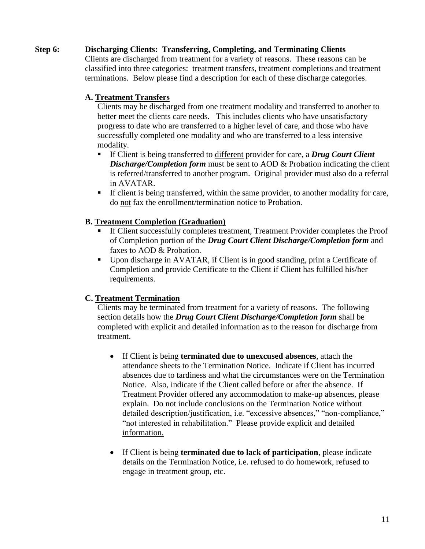#### **Step 6: Discharging Clients: Transferring, Completing, and Terminating Clients**

Clients are discharged from treatment for a variety of reasons. These reasons can be classified into three categories: treatment transfers, treatment completions and treatment terminations. Below please find a description for each of these discharge categories.

#### **A. Treatment Transfers**

Clients may be discharged from one treatment modality and transferred to another to better meet the clients care needs. This includes clients who have unsatisfactory progress to date who are transferred to a higher level of care, and those who have successfully completed one modality and who are transferred to a less intensive modality.

- If Client is being transferred to different provider for care, a *Drug Court Client Discharge/Completion form* must be sent to AOD & Probation indicating the client is referred/transferred to another program. Original provider must also do a referral in AVATAR.
- If client is being transferred, within the same provider, to another modality for care, do not fax the enrollment/termination notice to Probation.

#### **B. Treatment Completion (Graduation)**

- If Client successfully completes treatment, Treatment Provider completes the Proof of Completion portion of the *Drug Court Client Discharge/Completion form* and faxes to AOD & Probation.
- Upon discharge in AVATAR, if Client is in good standing, print a Certificate of Completion and provide Certificate to the Client if Client has fulfilled his/her requirements.

#### **C. Treatment Termination**

Clients may be terminated from treatment for a variety of reasons. The following section details how the *Drug Court Client Discharge/Completion form* shall be completed with explicit and detailed information as to the reason for discharge from treatment.

- If Client is being **terminated due to unexcused absences**, attach the attendance sheets to the Termination Notice. Indicate if Client has incurred absences due to tardiness and what the circumstances were on the Termination Notice. Also, indicate if the Client called before or after the absence. If Treatment Provider offered any accommodation to make-up absences, please explain. Do not include conclusions on the Termination Notice without detailed description/justification, i.e. "excessive absences," "non-compliance," "not interested in rehabilitation." Please provide explicit and detailed information.
- If Client is being **terminated due to lack of participation**, please indicate details on the Termination Notice, i.e. refused to do homework, refused to engage in treatment group, etc.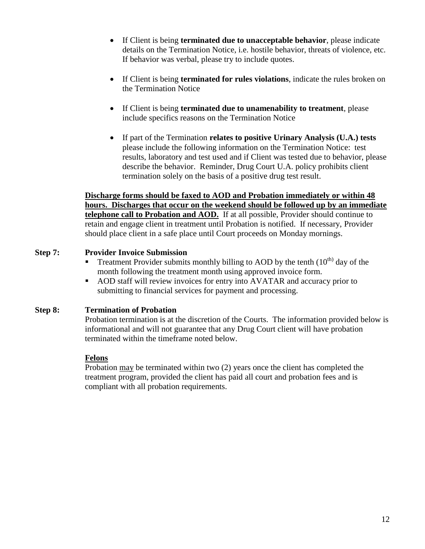- If Client is being **terminated due to unacceptable behavior**, please indicate details on the Termination Notice, i.e. hostile behavior, threats of violence, etc. If behavior was verbal, please try to include quotes.
- If Client is being **terminated for rules violations**, indicate the rules broken on the Termination Notice
- If Client is being **terminated due to unamenability to treatment**, please include specifics reasons on the Termination Notice
- If part of the Termination **relates to positive Urinary Analysis (U.A.) tests** please include the following information on the Termination Notice: test results, laboratory and test used and if Client was tested due to behavior, please describe the behavior. Reminder, Drug Court U.A. policy prohibits client termination solely on the basis of a positive drug test result.

**Discharge forms should be faxed to AOD and Probation immediately or within 48 hours. Discharges that occur on the weekend should be followed up by an immediate telephone call to Probation and AOD.** If at all possible, Provider should continue to retain and engage client in treatment until Probation is notified. If necessary, Provider should place client in a safe place until Court proceeds on Monday mornings.

#### **Step 7: Provider Invoice Submission**

- Treatment Provider submits monthly billing to AOD by the tenth  $(10<sup>th</sup>)$  day of the month following the treatment month using approved invoice form.
- AOD staff will review invoices for entry into AVATAR and accuracy prior to submitting to financial services for payment and processing.

#### **Step 8: Termination of Probation**

Probation termination is at the discretion of the Courts. The information provided below is informational and will not guarantee that any Drug Court client will have probation terminated within the timeframe noted below.

#### **Felons**

Probation may be terminated within two (2) years once the client has completed the treatment program, provided the client has paid all court and probation fees and is compliant with all probation requirements.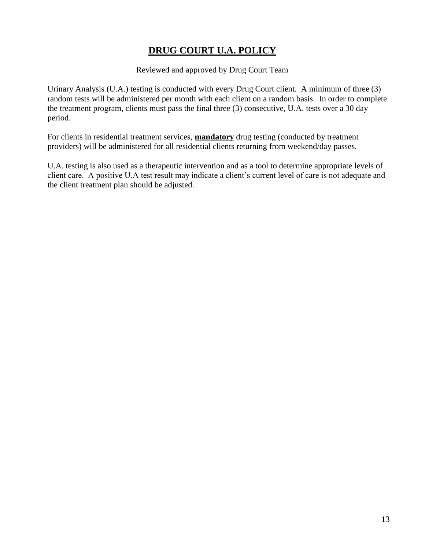## **DRUG COURT U.A. POLICY**

#### Reviewed and approved by Drug Court Team

Urinary Analysis (U.A.) testing is conducted with every Drug Court client. A minimum of three (3) random tests will be administered per month with each client on a random basis. In order to complete the treatment program, clients must pass the final three (3) consecutive, U.A. tests over a 30 day period.

For clients in residential treatment services, **mandatory** drug testing (conducted by treatment providers) will be administered for all residential clients returning from weekend/day passes.

U.A. testing is also used as a therapeutic intervention and as a tool to determine appropriate levels of client care. A positive U.A test result may indicate a client's current level of care is not adequate and the client treatment plan should be adjusted.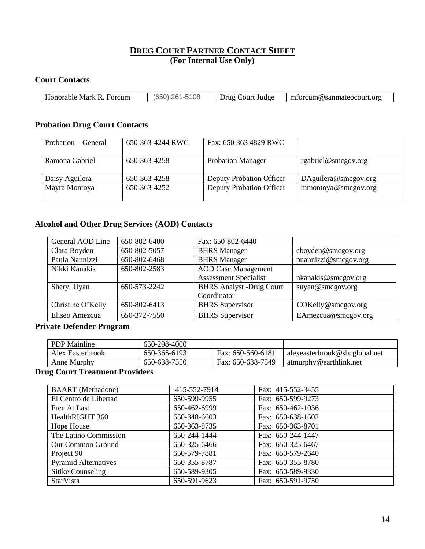#### **DRUG COURT PARTNER CONTACT SHEET (For Internal Use Only)**

#### **Court Contacts**

| AC<br>108<br>Forcum<br>`ourt<br>Judge<br>Jrug<br>%sanmateocourt.org<br>Honorable<br>Mark<br>orcum(@<br>mı<br>к<br>_____ |  |  |
|-------------------------------------------------------------------------------------------------------------------------|--|--|
|                                                                                                                         |  |  |

#### **Probation Drug Court Contacts**

| Probation – General | 650-363-4244 RWC | Fax: 650 363 4829 RWC           |                      |
|---------------------|------------------|---------------------------------|----------------------|
| Ramona Gabriel      | 650-363-4258     | <b>Probation Manager</b>        | rgabriel@smcgov.org  |
| Daisy Aguilera      | 650-363-4258     | <b>Deputy Probation Officer</b> | DAguilera@smcgov.org |
| Mayra Montoya       | 650-363-4252     | <b>Deputy Probation Officer</b> | mmontoya@smcgov.org  |

#### **Alcohol and Other Drug Services (AOD) Contacts**

| General AOD Line  | 650-802-6400 | Fax: 650-802-6440               |                      |
|-------------------|--------------|---------------------------------|----------------------|
| Clara Boyden      | 650-802-5057 | <b>BHRS</b> Manager             | cboyden@smcgov.org   |
| Paula Nannizzi    | 650-802-6468 | <b>BHRS</b> Manager             | pnannizzi@smcgov.org |
| Nikki Kanakis     | 650-802-2583 | <b>AOD Case Management</b>      |                      |
|                   |              | <b>Assessment Specialist</b>    | nkanakis@smcgov.org  |
| Sheryl Uyan       | 650-573-2242 | <b>BHRS Analyst -Drug Court</b> | suyan@smcgov.org     |
|                   |              | Coordinator                     |                      |
| Christine O'Kelly | 650-802-6413 | <b>BHRS</b> Supervisor          | COKelly@smcgov.org   |
| Eliseo Amezcua    | 650-372-7550 | <b>BHRS</b> Supervisor          | EAmezcua@smcgov.org  |

#### **Private Defender Program**

| <b>PDP</b> Mainline | 650-298-4000 |                   |                               |
|---------------------|--------------|-------------------|-------------------------------|
| Alex Easterbrook    | 650-365-6193 | Fax: 650-560-6181 | alexeasterbrook@sbcglobal.net |
| Anne Murphy         | 650-638-7550 | Fax: 650-638-7549 | atmurphy@earthlink.net        |

#### **Drug Court Treatment Providers**

| <b>BAART</b> (Methadone)    | 415-552-7914 | Fax: 415-552-3455 |
|-----------------------------|--------------|-------------------|
| El Centro de Libertad       | 650-599-9955 | Fax: 650-599-9273 |
| Free At Last                | 650-462-6999 | Fax: 650-462-1036 |
| HealthRIGHT 360             | 650-348-6603 | Fax: 650-638-1602 |
| Hope House                  | 650-363-8735 | Fax: 650-363-8701 |
| The Latino Commission       | 650-244-1444 | Fax: 650-244-1447 |
| <b>Our Common Ground</b>    | 650-325-6466 | Fax: 650-325-6467 |
| Project 90                  | 650-579-7881 | Fax: 650-579-2640 |
| <b>Pyramid Alternatives</b> | 650-355-8787 | Fax: 650-355-8780 |
| Sitike Counseling           | 650-589-9305 | Fax: 650-589-9330 |
| <b>StarVista</b>            | 650-591-9623 | Fax: 650-591-9750 |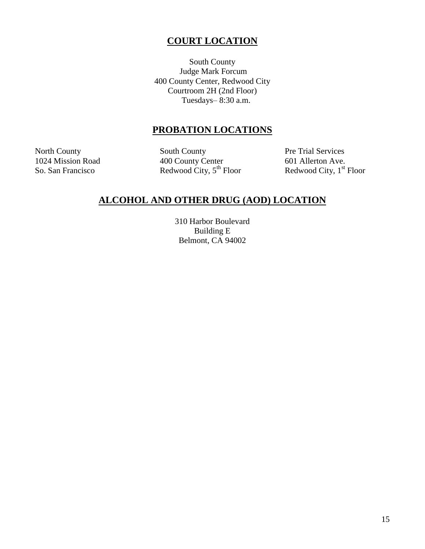## **COURT LOCATION**

South County Judge Mark Forcum 400 County Center, Redwood City Courtroom 2H (2nd Floor) Tuesdays– 8:30 a.m.

#### **PROBATION LOCATIONS**

North County South County Pre Trial Services 1024 Mission Road 400 County Center 601 Allerton Ave.<br>
So. San Francisco Redwood City, 5<sup>th</sup> Floor Redwood City, 1<sup>st</sup> So. San Francisco Redwood City, 5<sup>th</sup> Floor Redwood City, 1<sup>st</sup> Floor

## **ALCOHOL AND OTHER DRUG (AOD) LOCATION**

310 Harbor Boulevard Building E Belmont, CA 94002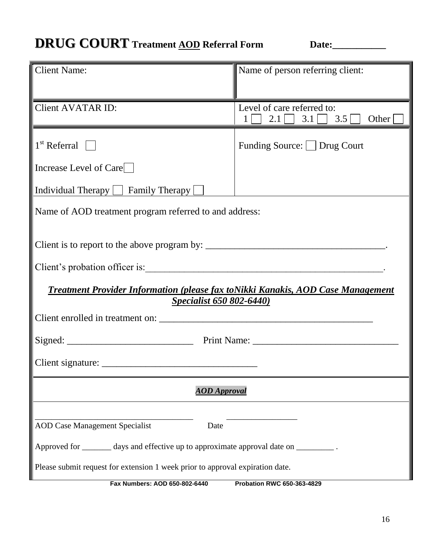## **DRUG COURT** Treatment <u>AOD</u> Referral Form Date:\_\_\_\_\_\_\_\_\_

| <b>Client Name:</b>                                                                     | Name of person referring client:                 |  |
|-----------------------------------------------------------------------------------------|--------------------------------------------------|--|
|                                                                                         |                                                  |  |
| <b>Client AVATAR ID:</b>                                                                | Level of care referred to:                       |  |
|                                                                                         | $2.1$   3.1   3.5   0ther<br>$1 \mid \cdot \mid$ |  |
|                                                                                         |                                                  |  |
| $1st$ Referral $\Box$                                                                   | Funding Source:   Drug Court                     |  |
|                                                                                         |                                                  |  |
| Increase Level of Care                                                                  |                                                  |  |
| Individual Therapy $\Box$ Family Therapy $\Box$                                         |                                                  |  |
|                                                                                         |                                                  |  |
| Name of AOD treatment program referred to and address:                                  |                                                  |  |
|                                                                                         |                                                  |  |
|                                                                                         |                                                  |  |
|                                                                                         |                                                  |  |
|                                                                                         |                                                  |  |
| <b>Treatment Provider Information (please fax to Nikki Kanakis, AOD Case Management</b> |                                                  |  |
| Specialist 650 802-6440)                                                                |                                                  |  |
|                                                                                         |                                                  |  |
|                                                                                         |                                                  |  |
|                                                                                         |                                                  |  |
|                                                                                         |                                                  |  |
| Client signature:                                                                       |                                                  |  |
| <b>AOD</b> Approval                                                                     |                                                  |  |
|                                                                                         |                                                  |  |
|                                                                                         |                                                  |  |
| <b>AOD Case Management Specialist</b><br>Date                                           |                                                  |  |
| Approved for _________ days and effective up to approximate approval date on _________  |                                                  |  |
| Please submit request for extension 1 week prior to approval expiration date.           |                                                  |  |
| Fax Numbers: AOD 650-802-6440                                                           | <b>Probation RWC 650-363-4829</b>                |  |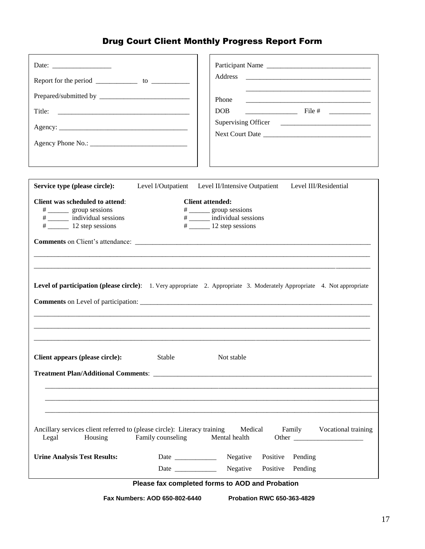## Drug Court Client Monthly Progress Report Form

| Report for the period $\frac{1}{\sqrt{1-\frac{1}{\sqrt{1-\frac{1}{\sqrt{1-\frac{1}{\sqrt{1-\frac{1}{\sqrt{1-\frac{1}{\sqrt{1-\frac{1}{\sqrt{1-\frac{1}{\sqrt{1-\frac{1}{\sqrt{1-\frac{1}{\sqrt{1-\frac{1}{\sqrt{1-\frac{1}{\sqrt{1-\frac{1}{\sqrt{1-\frac{1}{\sqrt{1-\frac{1}{\sqrt{1-\frac{1}{\sqrt{1-\frac{1}{\sqrt{1-\frac{1}{\sqrt{1-\frac{1}{\sqrt{1-\frac{1}{\sqrt{1-\frac{1}{\sqrt{1-\frac{1}{\sqrt{1$ | Participant Name<br>Address<br>Phone<br>$\frac{1}{2}$ File # $\frac{1}{2}$<br>DOB.                                                                                 |
|---------------------------------------------------------------------------------------------------------------------------------------------------------------------------------------------------------------------------------------------------------------------------------------------------------------------------------------------------------------------------------------------------------------|--------------------------------------------------------------------------------------------------------------------------------------------------------------------|
| Service type (please circle):                                                                                                                                                                                                                                                                                                                                                                                 | Level I/Outpatient Level II/Intensive Outpatient Level III/Residential                                                                                             |
| <b>Client was scheduled to attend:</b>                                                                                                                                                                                                                                                                                                                                                                        | <b>Client attended:</b>                                                                                                                                            |
| # _________ group sessions                                                                                                                                                                                                                                                                                                                                                                                    | # ________ group sessions                                                                                                                                          |
| # ________ individual sessions                                                                                                                                                                                                                                                                                                                                                                                | # _____ individual sessions                                                                                                                                        |
|                                                                                                                                                                                                                                                                                                                                                                                                               |                                                                                                                                                                    |
|                                                                                                                                                                                                                                                                                                                                                                                                               | <b>Comments</b> on Client's attendance:<br>Level of participation (please circle): 1. Very appropriate 2. Appropriate 3. Moderately Appropriate 4. Not appropriate |
| Client appears (please circle):<br>Stable                                                                                                                                                                                                                                                                                                                                                                     | Not stable                                                                                                                                                         |
|                                                                                                                                                                                                                                                                                                                                                                                                               |                                                                                                                                                                    |
| Ancillary services client referred to (please circle): Literacy training<br>Family counseling<br>Legal<br>Housing                                                                                                                                                                                                                                                                                             | Medical<br>Family Vocational training<br>Mental health                                                                                                             |
| <b>Urine Analysis Test Results:</b>                                                                                                                                                                                                                                                                                                                                                                           | Negative<br>Positive<br>Pending                                                                                                                                    |
| Date and the same state of the state of the state of the state of the state of the state of the state of the state of the state of the state of the state of the state of the state of the state of the state of the state of                                                                                                                                                                                 | Negative<br>Positive<br>Pending                                                                                                                                    |
|                                                                                                                                                                                                                                                                                                                                                                                                               | Please fax completed forms to AOD and Probation                                                                                                                    |

**Fax Numbers: AOD 650-802-6440 Probation RWC 650-363-4829**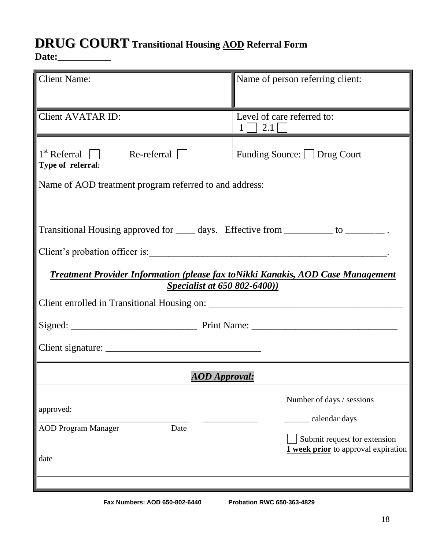## **DRUG COURTTransitional Housing AOD Referral Form**

**Date:\_\_\_\_\_\_\_\_\_\_\_**

| <b>Client Name:</b>                                                                                                                                                                                                     | Name of person referring client:                                                                                         |
|-------------------------------------------------------------------------------------------------------------------------------------------------------------------------------------------------------------------------|--------------------------------------------------------------------------------------------------------------------------|
| <b>Client AVATAR ID:</b>                                                                                                                                                                                                | Level of care referred to:<br>1   2.1                                                                                    |
| $1st$ Re-referral $\Box$ Re-referral $\Box$<br>Type of referral:<br>Name of AOD treatment program referred to and address:                                                                                              | Funding Source: Drug Court                                                                                               |
| Transitional Housing approved for _____ days. Effective from __________ to __________.<br><u>Treatment Provider Information (please fax to Nikki Kanakis, AOD Case Management</u><br><b>Specialist at 650 802-6400)</b> |                                                                                                                          |
|                                                                                                                                                                                                                         |                                                                                                                          |
| <b>AOD</b> Approval:                                                                                                                                                                                                    |                                                                                                                          |
| approved:<br><b>AOD Program Manager</b><br>Date<br>date                                                                                                                                                                 | Number of days / sessions<br>calendar days<br>Submit request for extension<br><b>1</b> week prior to approval expiration |
| Fax Numbers: AOD 650-802-6440                                                                                                                                                                                           | <b>Probation RWC 650-363-4829</b>                                                                                        |